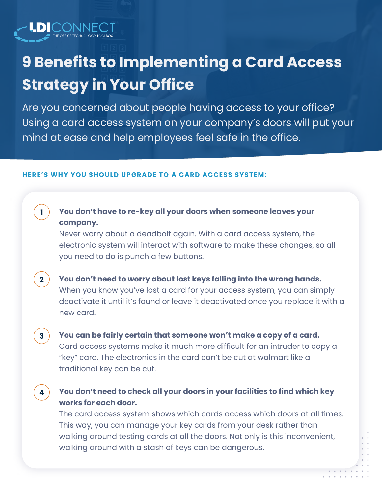# **9 Benefits to Implementing a Card Access Strategy in Your Office**

Are you concerned about people having access to your office? Using a card access system on your company's doors will put your mind at ease and help employees feel safe in the office.

#### **HERE'S WHY YOU SHOULD UPGRADE TO A CARD ACCESS SYSTEM:**

**1**

**2**

**3**

**4**

## **You don't have to re-key all your doors when someone leaves your company.**

Never worry about a deadbolt again. With a card access system, the electronic system will interact with software to make these changes, so all you need to do is punch a few buttons.

**You don't need to worry about lost keys falling into the wrong hands.** When you know you've lost a card for your access system, you can simply deactivate it until it's found or leave it deactivated once you replace it with a new card.

**You can be fairly certain that someone won't make a copy of a card.** Card access systems make it much more difficult for an intruder to copy a "key" card. The electronics in the card can't be cut at walmart like a traditional key can be cut.

## **You don't need to check all your doors in your facilities to find which key works for each door.**

The card access system shows which cards access which doors at all times. This way, you can manage your key cards from your desk rather than walking around testing cards at all the doors. Not only is this inconvenient, walking around with a stash of keys can be dangerous.